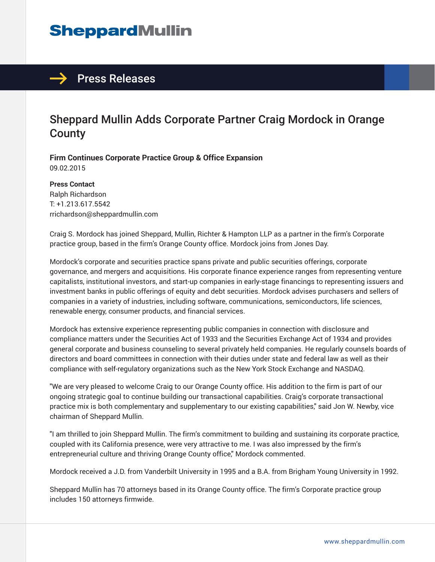# **SheppardMullin**

### $\rightarrow$  Press Releases

## Sheppard Mullin Adds Corporate Partner Craig Mordock in Orange **County**

**Firm Continues Corporate Practice Group & Office Expansion** 09.02.2015

**Press Contact** Ralph Richardson T: +1.213.617.5542 rrichardson@sheppardmullin.com

Craig S. Mordock has joined Sheppard, Mullin, Richter & Hampton LLP as a partner in the firm's Corporate practice group, based in the firm's Orange County office. Mordock joins from Jones Day.

Mordock's corporate and securities practice spans private and public securities offerings, corporate governance, and mergers and acquisitions. His corporate finance experience ranges from representing venture capitalists, institutional investors, and start-up companies in early-stage financings to representing issuers and investment banks in public offerings of equity and debt securities. Mordock advises purchasers and sellers of companies in a variety of industries, including software, communications, semiconductors, life sciences, renewable energy, consumer products, and financial services.

Mordock has extensive experience representing public companies in connection with disclosure and compliance matters under the Securities Act of 1933 and the Securities Exchange Act of 1934 and provides general corporate and business counseling to several privately held companies. He regularly counsels boards of directors and board committees in connection with their duties under state and federal law as well as their compliance with self-regulatory organizations such as the New York Stock Exchange and NASDAQ.

"We are very pleased to welcome Craig to our Orange County office. His addition to the firm is part of our ongoing strategic goal to continue building our transactional capabilities. Craig's corporate transactional practice mix is both complementary and supplementary to our existing capabilities," said Jon W. Newby, vice chairman of Sheppard Mullin.

"I am thrilled to join Sheppard Mullin. The firm's commitment to building and sustaining its corporate practice, coupled with its California presence, were very attractive to me. I was also impressed by the firm's entrepreneurial culture and thriving Orange County office," Mordock commented.

Mordock received a J.D. from Vanderbilt University in 1995 and a B.A. from Brigham Young University in 1992.

Sheppard Mullin has 70 attorneys based in its Orange County office. The firm's Corporate practice group includes 150 attorneys firmwide.